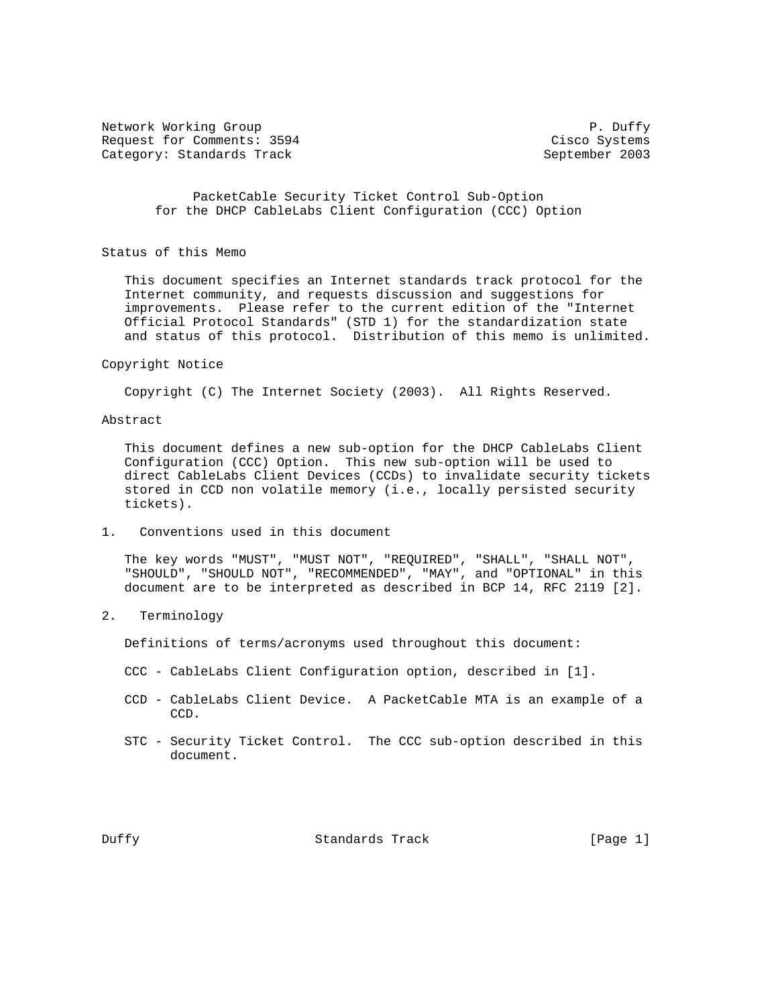Network Working Group **P. Duffy** P. Duffy Request for Comments: 3594 Cisco Systems Category: Standards Track September 2003

 PacketCable Security Ticket Control Sub-Option for the DHCP CableLabs Client Configuration (CCC) Option

Status of this Memo

 This document specifies an Internet standards track protocol for the Internet community, and requests discussion and suggestions for improvements. Please refer to the current edition of the "Internet Official Protocol Standards" (STD 1) for the standardization state and status of this protocol. Distribution of this memo is unlimited.

#### Copyright Notice

Copyright (C) The Internet Society (2003). All Rights Reserved.

Abstract

 This document defines a new sub-option for the DHCP CableLabs Client Configuration (CCC) Option. This new sub-option will be used to direct CableLabs Client Devices (CCDs) to invalidate security tickets stored in CCD non volatile memory (i.e., locally persisted security tickets).

1. Conventions used in this document

 The key words "MUST", "MUST NOT", "REQUIRED", "SHALL", "SHALL NOT", "SHOULD", "SHOULD NOT", "RECOMMENDED", "MAY", and "OPTIONAL" in this document are to be interpreted as described in BCP 14, RFC 2119 [2].

2. Terminology

Definitions of terms/acronyms used throughout this document:

- CCC CableLabs Client Configuration option, described in [1].
- CCD CableLabs Client Device. A PacketCable MTA is an example of a CCD.
- STC Security Ticket Control. The CCC sub-option described in this document.

Duffy Standards Track [Page 1]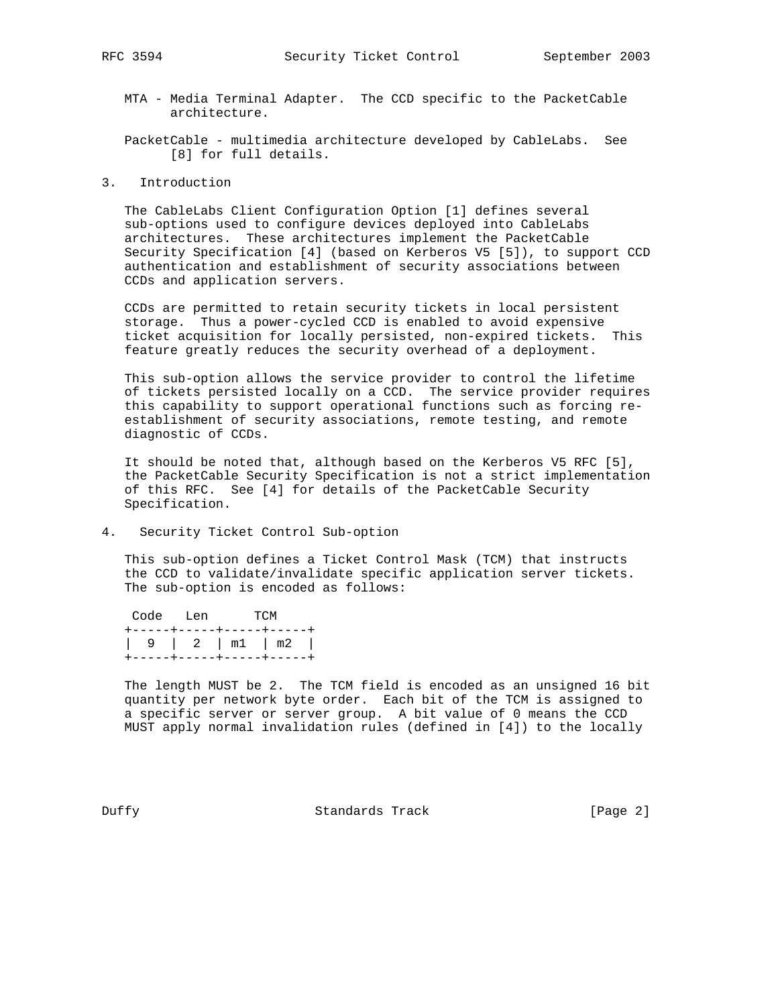MTA - Media Terminal Adapter. The CCD specific to the PacketCable architecture.

 PacketCable - multimedia architecture developed by CableLabs. See [8] for full details.

3. Introduction

 The CableLabs Client Configuration Option [1] defines several sub-options used to configure devices deployed into CableLabs architectures. These architectures implement the PacketCable Security Specification [4] (based on Kerberos V5 [5]), to support CCD authentication and establishment of security associations between CCDs and application servers.

 CCDs are permitted to retain security tickets in local persistent storage. Thus a power-cycled CCD is enabled to avoid expensive ticket acquisition for locally persisted, non-expired tickets. This feature greatly reduces the security overhead of a deployment.

 This sub-option allows the service provider to control the lifetime of tickets persisted locally on a CCD. The service provider requires this capability to support operational functions such as forcing re establishment of security associations, remote testing, and remote diagnostic of CCDs.

 It should be noted that, although based on the Kerberos V5 RFC [5], the PacketCable Security Specification is not a strict implementation of this RFC. See [4] for details of the PacketCable Security Specification.

4. Security Ticket Control Sub-option

 This sub-option defines a Ticket Control Mask (TCM) that instructs the CCD to validate/invalidate specific application server tickets. The sub-option is encoded as follows:

|                                                   | Code Len TCM |  |  |
|---------------------------------------------------|--------------|--|--|
| +-----+-----+-----+----+                          |              |  |  |
| $\vert$ 9 $\vert$ 2 $\vert$ m1 $\vert$ m2 $\vert$ |              |  |  |
| +-----+-----+-----+-----+                         |              |  |  |

 The length MUST be 2. The TCM field is encoded as an unsigned 16 bit quantity per network byte order. Each bit of the TCM is assigned to a specific server or server group. A bit value of 0 means the CCD MUST apply normal invalidation rules (defined in [4]) to the locally

Duffy Standards Track [Page 2]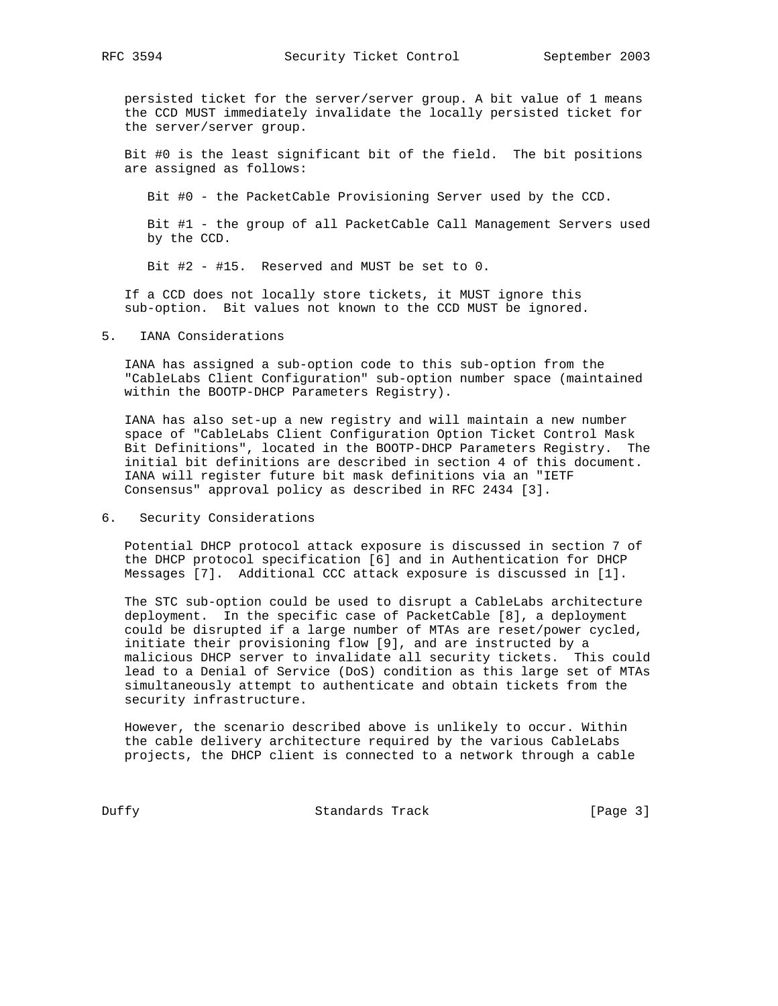persisted ticket for the server/server group. A bit value of 1 means the CCD MUST immediately invalidate the locally persisted ticket for the server/server group.

 Bit #0 is the least significant bit of the field. The bit positions are assigned as follows:

Bit #0 - the PacketCable Provisioning Server used by the CCD.

 Bit #1 - the group of all PacketCable Call Management Servers used by the CCD.

Bit #2 - #15. Reserved and MUST be set to 0.

 If a CCD does not locally store tickets, it MUST ignore this sub-option. Bit values not known to the CCD MUST be ignored.

### 5. IANA Considerations

 IANA has assigned a sub-option code to this sub-option from the "CableLabs Client Configuration" sub-option number space (maintained within the BOOTP-DHCP Parameters Registry).

 IANA has also set-up a new registry and will maintain a new number space of "CableLabs Client Configuration Option Ticket Control Mask Bit Definitions", located in the BOOTP-DHCP Parameters Registry. The initial bit definitions are described in section 4 of this document. IANA will register future bit mask definitions via an "IETF Consensus" approval policy as described in RFC 2434 [3].

## 6. Security Considerations

 Potential DHCP protocol attack exposure is discussed in section 7 of the DHCP protocol specification [6] and in Authentication for DHCP Messages [7]. Additional CCC attack exposure is discussed in [1].

 The STC sub-option could be used to disrupt a CableLabs architecture deployment. In the specific case of PacketCable [8], a deployment could be disrupted if a large number of MTAs are reset/power cycled, initiate their provisioning flow [9], and are instructed by a malicious DHCP server to invalidate all security tickets. This could lead to a Denial of Service (DoS) condition as this large set of MTAs simultaneously attempt to authenticate and obtain tickets from the security infrastructure.

 However, the scenario described above is unlikely to occur. Within the cable delivery architecture required by the various CableLabs projects, the DHCP client is connected to a network through a cable

Duffy **Standards Track** [Page 3]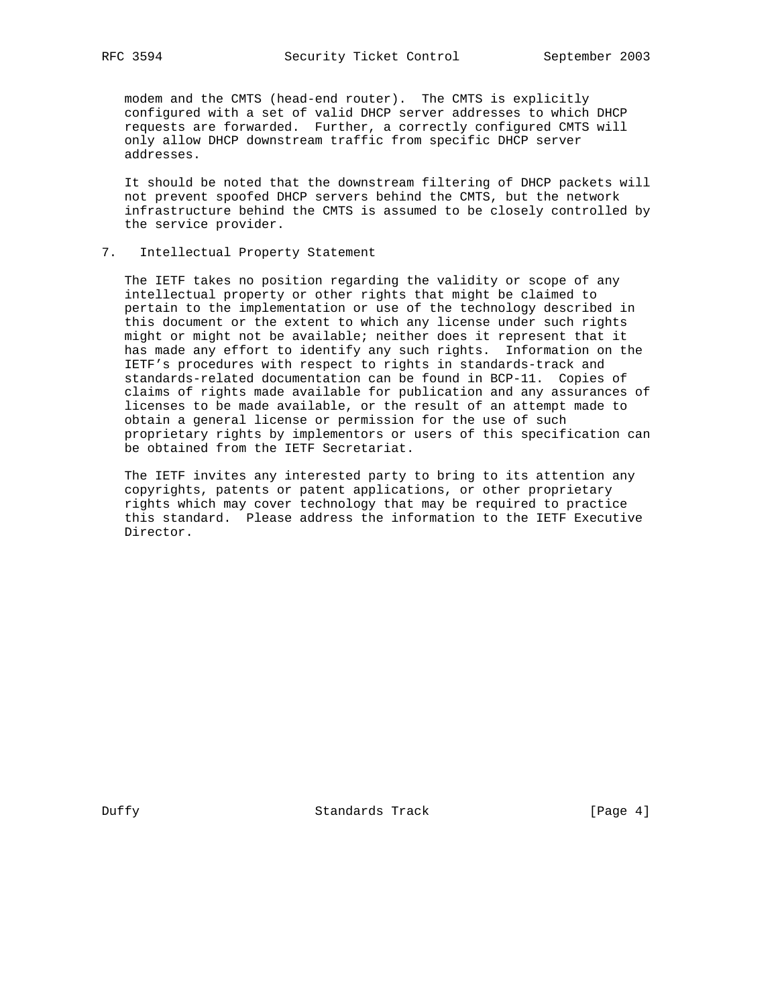modem and the CMTS (head-end router). The CMTS is explicitly configured with a set of valid DHCP server addresses to which DHCP requests are forwarded. Further, a correctly configured CMTS will only allow DHCP downstream traffic from specific DHCP server addresses.

 It should be noted that the downstream filtering of DHCP packets will not prevent spoofed DHCP servers behind the CMTS, but the network infrastructure behind the CMTS is assumed to be closely controlled by the service provider.

#### 7. Intellectual Property Statement

 The IETF takes no position regarding the validity or scope of any intellectual property or other rights that might be claimed to pertain to the implementation or use of the technology described in this document or the extent to which any license under such rights might or might not be available; neither does it represent that it has made any effort to identify any such rights. Information on the IETF's procedures with respect to rights in standards-track and standards-related documentation can be found in BCP-11. Copies of claims of rights made available for publication and any assurances of licenses to be made available, or the result of an attempt made to obtain a general license or permission for the use of such proprietary rights by implementors or users of this specification can be obtained from the IETF Secretariat.

 The IETF invites any interested party to bring to its attention any copyrights, patents or patent applications, or other proprietary rights which may cover technology that may be required to practice this standard. Please address the information to the IETF Executive Director.

Duffy Standards Track [Page 4]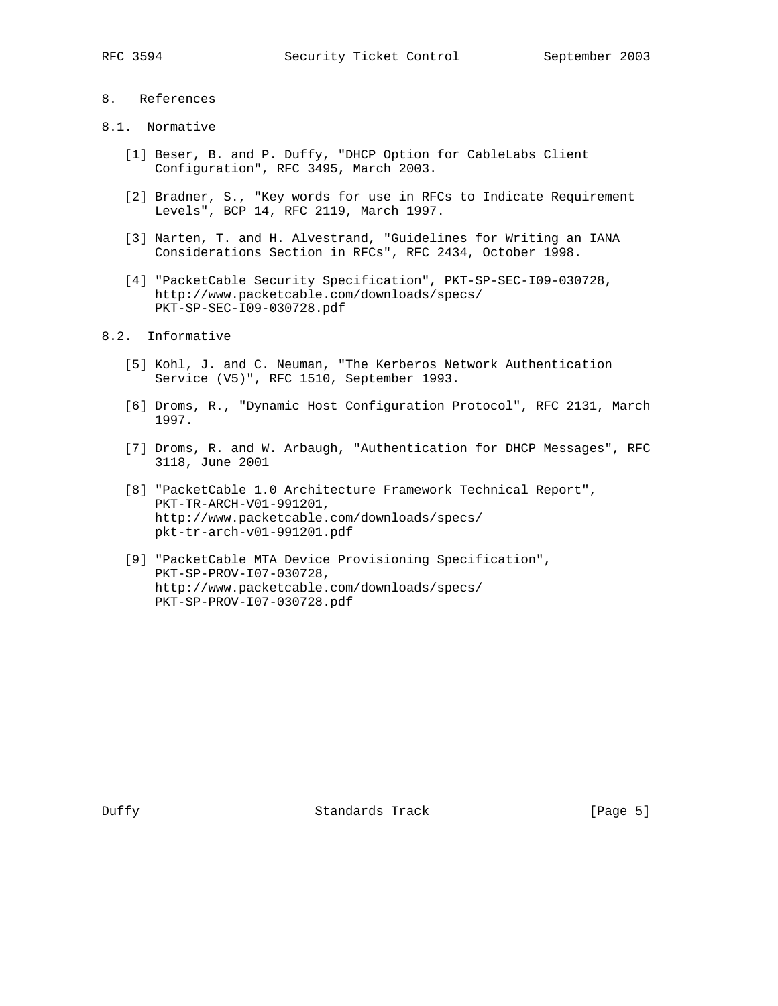## 8. References

## 8.1. Normative

- [1] Beser, B. and P. Duffy, "DHCP Option for CableLabs Client Configuration", RFC 3495, March 2003.
- [2] Bradner, S., "Key words for use in RFCs to Indicate Requirement Levels", BCP 14, RFC 2119, March 1997.
- [3] Narten, T. and H. Alvestrand, "Guidelines for Writing an IANA Considerations Section in RFCs", RFC 2434, October 1998.
- [4] "PacketCable Security Specification", PKT-SP-SEC-I09-030728, http://www.packetcable.com/downloads/specs/ PKT-SP-SEC-I09-030728.pdf

## 8.2. Informative

- [5] Kohl, J. and C. Neuman, "The Kerberos Network Authentication Service (V5)", RFC 1510, September 1993.
- [6] Droms, R., "Dynamic Host Configuration Protocol", RFC 2131, March 1997.
- [7] Droms, R. and W. Arbaugh, "Authentication for DHCP Messages", RFC 3118, June 2001
- [8] "PacketCable 1.0 Architecture Framework Technical Report", PKT-TR-ARCH-V01-991201, http://www.packetcable.com/downloads/specs/ pkt-tr-arch-v01-991201.pdf
- [9] "PacketCable MTA Device Provisioning Specification", PKT-SP-PROV-I07-030728, http://www.packetcable.com/downloads/specs/ PKT-SP-PROV-I07-030728.pdf

Duffy **Standards Track** [Page 5]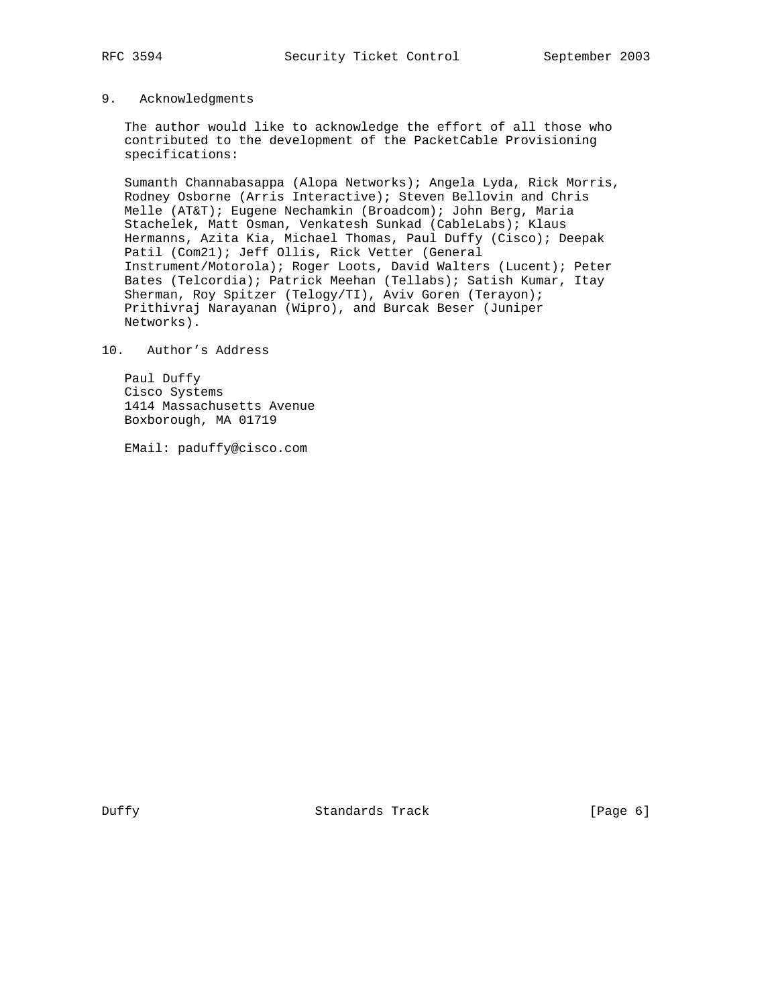## 9. Acknowledgments

 The author would like to acknowledge the effort of all those who contributed to the development of the PacketCable Provisioning specifications:

 Sumanth Channabasappa (Alopa Networks); Angela Lyda, Rick Morris, Rodney Osborne (Arris Interactive); Steven Bellovin and Chris Melle (AT&T); Eugene Nechamkin (Broadcom); John Berg, Maria Stachelek, Matt Osman, Venkatesh Sunkad (CableLabs); Klaus Hermanns, Azita Kia, Michael Thomas, Paul Duffy (Cisco); Deepak Patil (Com21); Jeff Ollis, Rick Vetter (General Instrument/Motorola); Roger Loots, David Walters (Lucent); Peter Bates (Telcordia); Patrick Meehan (Tellabs); Satish Kumar, Itay Sherman, Roy Spitzer (Telogy/TI), Aviv Goren (Terayon); Prithivraj Narayanan (Wipro), and Burcak Beser (Juniper Networks).

## 10. Author's Address

 Paul Duffy Cisco Systems 1414 Massachusetts Avenue Boxborough, MA 01719

EMail: paduffy@cisco.com

Duffy Standards Track [Page 6]